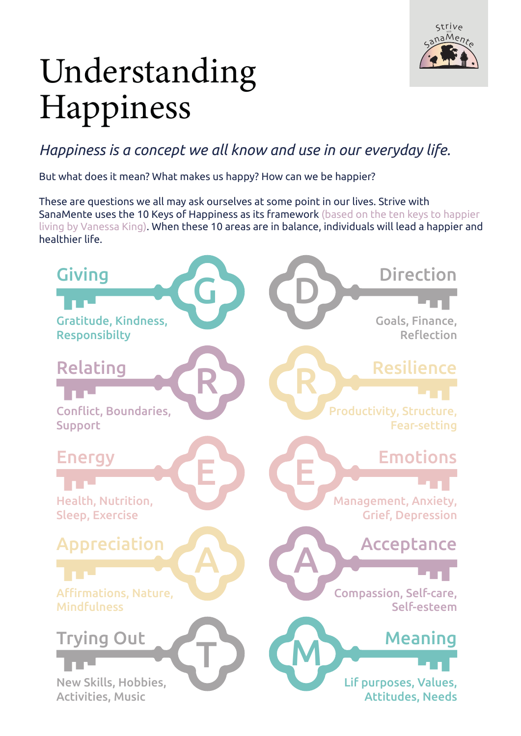

# Understanding Happiness

### *Happiness is a concept we all know and use in our everyday life.*

But what does it mean? What makes us happy? How can we be happier?

These are questions we all may ask ourselves at some point in our lives. Strive with SanaMente uses the 10 Keys of Happiness as its framework (based on the ten keys to happier living by Vanessa King). When these 10 areas are in balance, individuals will lead a happier and healthier life.

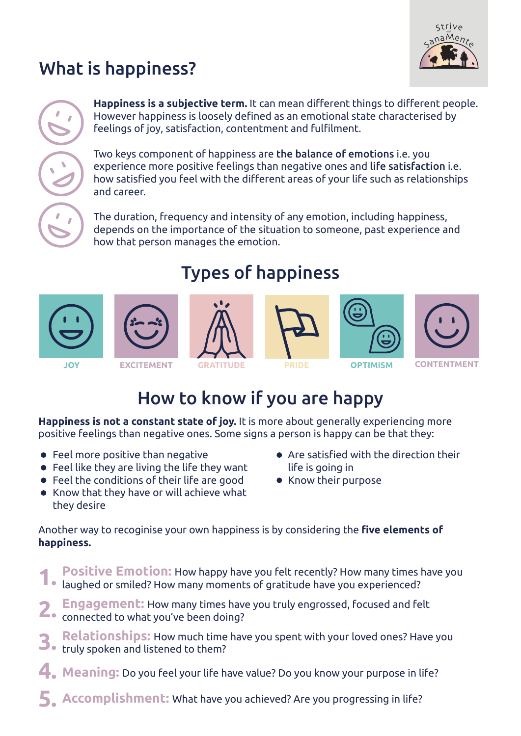# SanaMente strive

## What is happiness?

**Happiness is a subjective term.** It can mean different things to different people. However happiness is loosely defined as an emotional state characterised by feelings of joy, satisfaction, contentment and fulfilment.

Two keys component of happiness are the balance of emotions i.e. you experience more positive feelings than negative ones and life satisfaction i.e. how satisfied you feel with the different areas of your life such as relationships and career.

The duration, frequency and intensity of any emotion, including happiness, depends on the importance of the situation to someone, past experience and how that person manages the emotion.









### How to know if you are happy

Types of happiness

**Happiness is not a constant state of joy.** It is more about generally experiencing more positive feelings than negative ones. Some signs a person is happy can be that they:

- Feel more positive than negative
- Feel like they are living the life they want
- Feel the conditions of their life are good
- Know that they have or will achieve what they desire
- Are satisfied with the direction their life is going in
- Know their purpose

Another way to recoginise your own happiness is by considering the **five elements of happiness.**

**Positive Emotion:** How happy have you felt recently? How many times have you<br>• laughed or smiled? How many moments of gratitude have you experienced?

- **Engagement:** How many times have you truly engrossed, focused and felt **2.** connected to what you've been doing?
- **4. Metacionsings:** How much and nave you speak many setsing the truly spoken and listened to them?<br>**4. Meaning:** Do you feel your life have value? Do you know your purpose in life? **Relationships:** How much time have you spent with your loved ones? Have you
- 
- **5. Accomplishment:** What have you achieved? Are you progressing in life?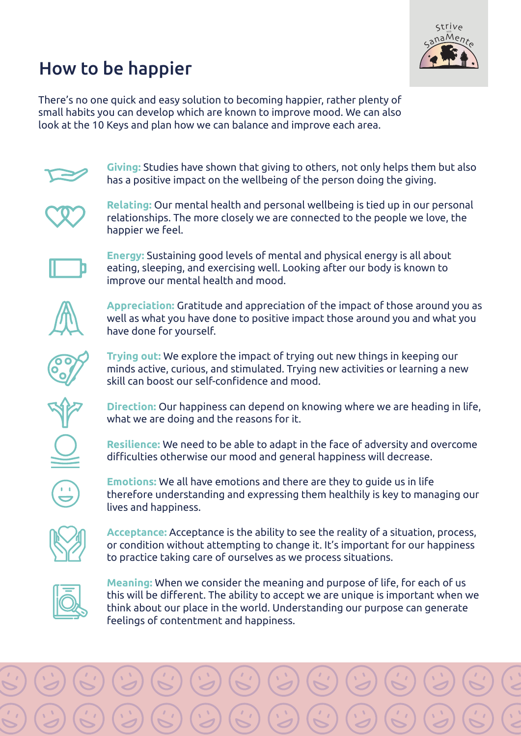

### How to be happier

There's no one quick and easy solution to becoming happier, rather plenty of small habits you can develop which are known to improve mood. We can also look at the 10 Keys and plan how we can balance and improve each area.



**Giving:** Studies have shown that giving to others, not only helps them but also has a positive impact on the wellbeing of the person doing the giving.



**Relating:** Our mental health and personal wellbeing is tied up in our personal relationships. The more closely we are connected to the people we love, the happier we feel.



**Energy:** Sustaining good levels of mental and physical energy is all about eating, sleeping, and exercising well. Looking after our body is known to improve our mental health and mood.



**Appreciation:** Gratitude and appreciation of the impact of those around you as well as what you have done to positive impact those around you and what you have done for yourself.



**Trying out:** We explore the impact of trying out new things in keeping our minds active, curious, and stimulated. Trying new activities or learning a new skill can boost our self-confidence and mood.



**Direction:** Our happiness can depend on knowing where we are heading in life, what we are doing and the reasons for it.



**Resilience:** We need to be able to adapt in the face of adversity and overcome difficulties otherwise our mood and general happiness will decrease.



**Emotions:** We all have emotions and there are they to guide us in life therefore understanding and expressing them healthily is key to managing our lives and happiness.



**Acceptance:** Acceptance is the ability to see the reality of a situation, process, or condition without attempting to change it. It's important for our happiness to practice taking care of ourselves as we process situations.



**Meaning:** When we consider the meaning and purpose of life, for each of us this will be different. The ability to accept we are unique is important when we think about our place in the world. Understanding our purpose can generate feelings of contentment and happiness.